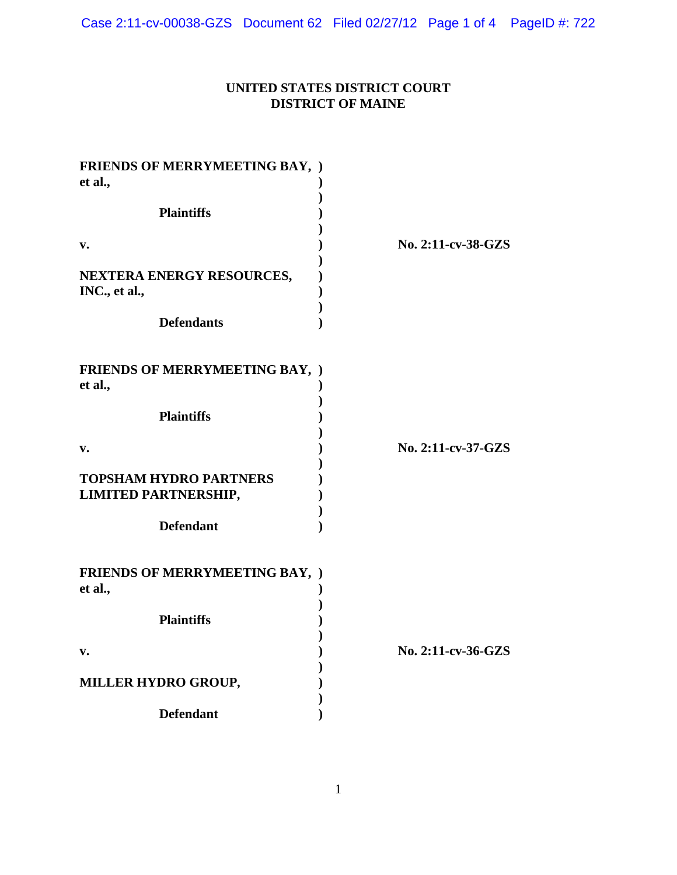# **UNITED STATES DISTRICT COURT DISTRICT OF MAINE**

| <b>FRIENDS OF MERRYMEETING BAY, )</b> |                    |
|---------------------------------------|--------------------|
| et al.,                               |                    |
|                                       |                    |
| <b>Plaintiffs</b>                     |                    |
|                                       |                    |
| v.                                    | No. 2:11-cv-38-GZS |
|                                       |                    |
| NEXTERA ENERGY RESOURCES,             |                    |
|                                       |                    |
| INC., et al.,                         |                    |
|                                       |                    |
| <b>Defendants</b>                     |                    |
|                                       |                    |
|                                       |                    |
| <b>FRIENDS OF MERRYMEETING BAY, )</b> |                    |
| et al.,                               |                    |
|                                       |                    |
| <b>Plaintiffs</b>                     |                    |
|                                       |                    |
|                                       | No. 2:11-cv-37-GZS |
| v.                                    |                    |
|                                       |                    |
| <b>TOPSHAM HYDRO PARTNERS</b>         |                    |
| <b>LIMITED PARTNERSHIP,</b>           |                    |
|                                       |                    |
| <b>Defendant</b>                      |                    |
|                                       |                    |
|                                       |                    |
| <b>FRIENDS OF MERRYMEETING BAY, )</b> |                    |
| et al.,                               |                    |
|                                       |                    |
| <b>Plaintiffs</b>                     |                    |
|                                       |                    |
|                                       |                    |
| v.                                    | No. 2:11-cv-36-GZS |
|                                       |                    |
| MILLER HYDRO GROUP,                   |                    |
|                                       |                    |
| <b>Defendant</b>                      |                    |
|                                       |                    |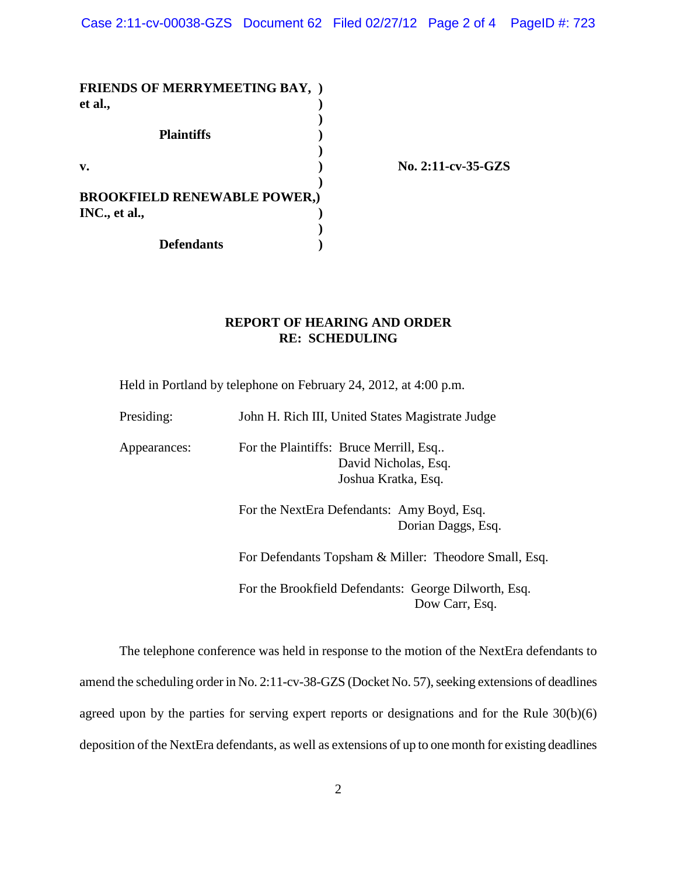| <b>FRIENDS OF MERRYMEETING BAY, )</b> |                    |
|---------------------------------------|--------------------|
| et al.,                               |                    |
|                                       |                    |
| <b>Plaintiffs</b>                     |                    |
|                                       |                    |
| $\mathbf{v}$ .                        | No. 2:11-cv-35-GZS |
|                                       |                    |
| <b>BROOKFIELD RENEWABLE POWER,)</b>   |                    |
| INC., et al.,                         |                    |
|                                       |                    |
| <b>Defendants</b>                     |                    |

## **REPORT OF HEARING AND ORDER RE: SCHEDULING**

Held in Portland by telephone on February 24, 2012, at 4:00 p.m.

| Presiding:   | John H. Rich III, United States Magistrate Judge                                      |  |
|--------------|---------------------------------------------------------------------------------------|--|
| Appearances: | For the Plaintiffs: Bruce Merrill, Esq<br>David Nicholas, Esq.<br>Joshua Kratka, Esq. |  |
|              | For the NextEra Defendants: Amy Boyd, Esq.<br>Dorian Daggs, Esq.                      |  |
|              | For Defendants Topsham & Miller: Theodore Small, Esq.                                 |  |
|              | For the Brookfield Defendants: George Dilworth, Esq.<br>Dow Carr, Esq.                |  |

The telephone conference was held in response to the motion of the NextEra defendants to amend the scheduling order in No. 2:11-cv-38-GZS (Docket No. 57), seeking extensions of deadlines agreed upon by the parties for serving expert reports or designations and for the Rule 30(b)(6) deposition of the NextEra defendants, as well as extensions of up to one month for existing deadlines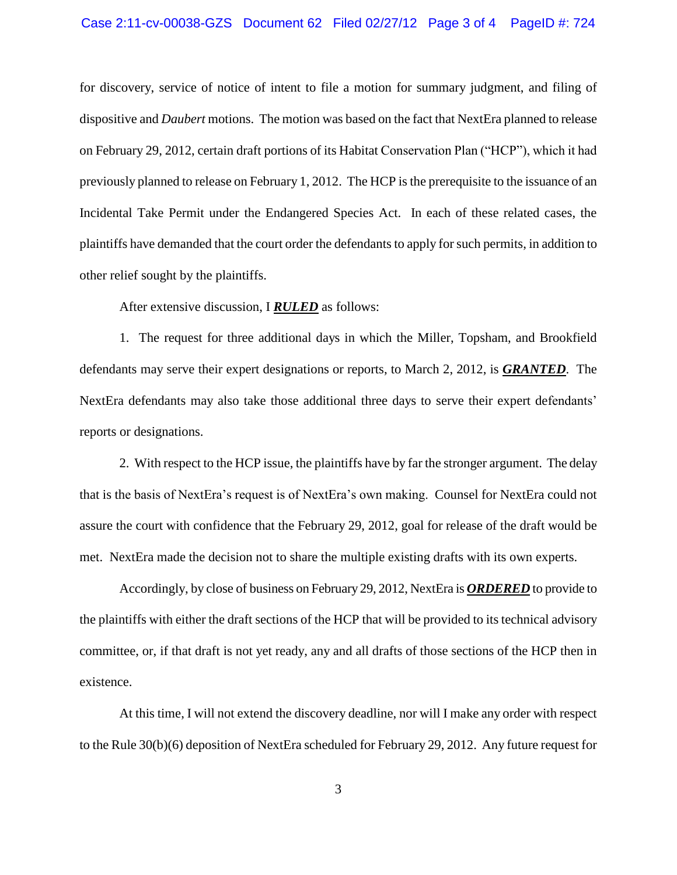#### Case 2:11-cv-00038-GZS Document 62 Filed 02/27/12 Page 3 of 4 PageID #: 724

for discovery, service of notice of intent to file a motion for summary judgment, and filing of dispositive and *Daubert* motions. The motion was based on the fact that NextEra planned to release on February 29, 2012, certain draft portions of its Habitat Conservation Plan ("HCP"), which it had previously planned to release on February 1, 2012. The HCP is the prerequisite to the issuance of an Incidental Take Permit under the Endangered Species Act. In each of these related cases, the plaintiffs have demanded that the court order the defendants to apply for such permits, in addition to other relief sought by the plaintiffs.

After extensive discussion, I *RULED* as follows:

1. The request for three additional days in which the Miller, Topsham, and Brookfield defendants may serve their expert designations or reports, to March 2, 2012, is *GRANTED*. The NextEra defendants may also take those additional three days to serve their expert defendants' reports or designations.

2. With respect to the HCP issue, the plaintiffs have by far the stronger argument. The delay that is the basis of NextEra's request is of NextEra's own making. Counsel for NextEra could not assure the court with confidence that the February 29, 2012, goal for release of the draft would be met. NextEra made the decision not to share the multiple existing drafts with its own experts.

Accordingly, by close of business on February 29, 2012, NextEra is *ORDERED* to provide to the plaintiffs with either the draft sections of the HCP that will be provided to its technical advisory committee, or, if that draft is not yet ready, any and all drafts of those sections of the HCP then in existence.

At this time, I will not extend the discovery deadline, nor will I make any order with respect to the Rule 30(b)(6) deposition of NextEra scheduled for February 29, 2012. Any future request for